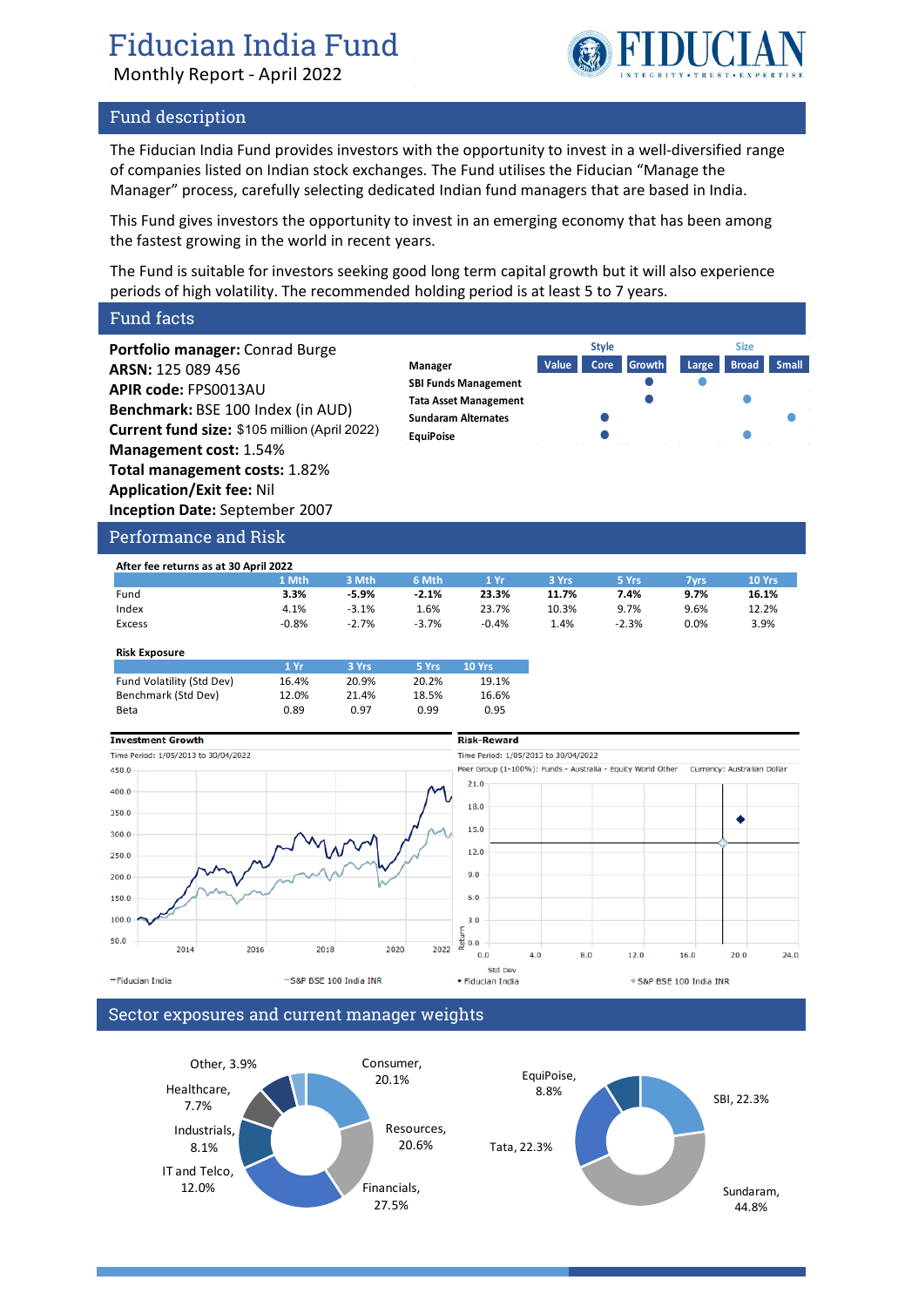# Fiducian India Fund

Monthly Report - April 2022

## Fund description

The Fiducian India Fund provides investors with the opportunity to invest in a well-diversified range of companies listed on Indian stock exchanges. The Fund utilises the Fiducian "Manage the Manager" process, carefully selecting dedicated Indian fund managers that are based in India.

This Fund gives investors the opportunity to invest in an emerging economy that has been among the fastest growing in the world in recent years.

The Fund is suitable for investors seeking good long term capital growth but it will also experience periods of high volatility. The recommended holding period is at least 5 to 7 years.

## Fund facts

**Portfolio manager:** Conrad Burge **ARSN:** 125 089 456 **APIR code:** FPS0013AU **Benchmark:** BSE 100 Index (in AUD) **Current fund size:** \$105 million (April 2022) **Management cost:** 1.54% **Total management costs:** 1.82% **Application/Exit fee:** Nil **Inception Date:** September 2007





**TIDUCI** 

#### Performance and Risk

| After fee returns as at 30 April 2022 |         |         |         |         |       |         |      |        |
|---------------------------------------|---------|---------|---------|---------|-------|---------|------|--------|
|                                       | L Mth   | 3 Mth   | 6 Mth   | 1 Yr    | 3 Yrs | 5 Yrs   | 7vrs | 10 Yrs |
| Fund                                  | 3.3%    | $-5.9%$ | $-2.1%$ | 23.3%   | 11.7% | 7.4%    | 9.7% | 16.1%  |
| Index                                 | 4.1%    | $-3.1%$ | 1.6%    | 23.7%   | 10.3% | 9.7%    | 9.6% | 12.2%  |
| Excess                                | $-0.8%$ | $-2.7%$ | $-3.7%$ | $-0.4%$ | . 4%  | $-2.3%$ | 0.0% | 3.9%   |

#### **Risk Exposure**

|                           | 1 Yr  | 3 Yrs | 5 Yrs | 10 Yrs |
|---------------------------|-------|-------|-------|--------|
| Fund Volatility (Std Dev) | 16.4% | 20.9% | 20.2% | 19.1%  |
| Benchmark (Std Dev)       | 12.0% | 21.4% | 18.5% | 16.6%  |
| Beta                      | 0.89  | 0.97  | 0.99  | 0.95   |



#### Sector exposures and current manager weights